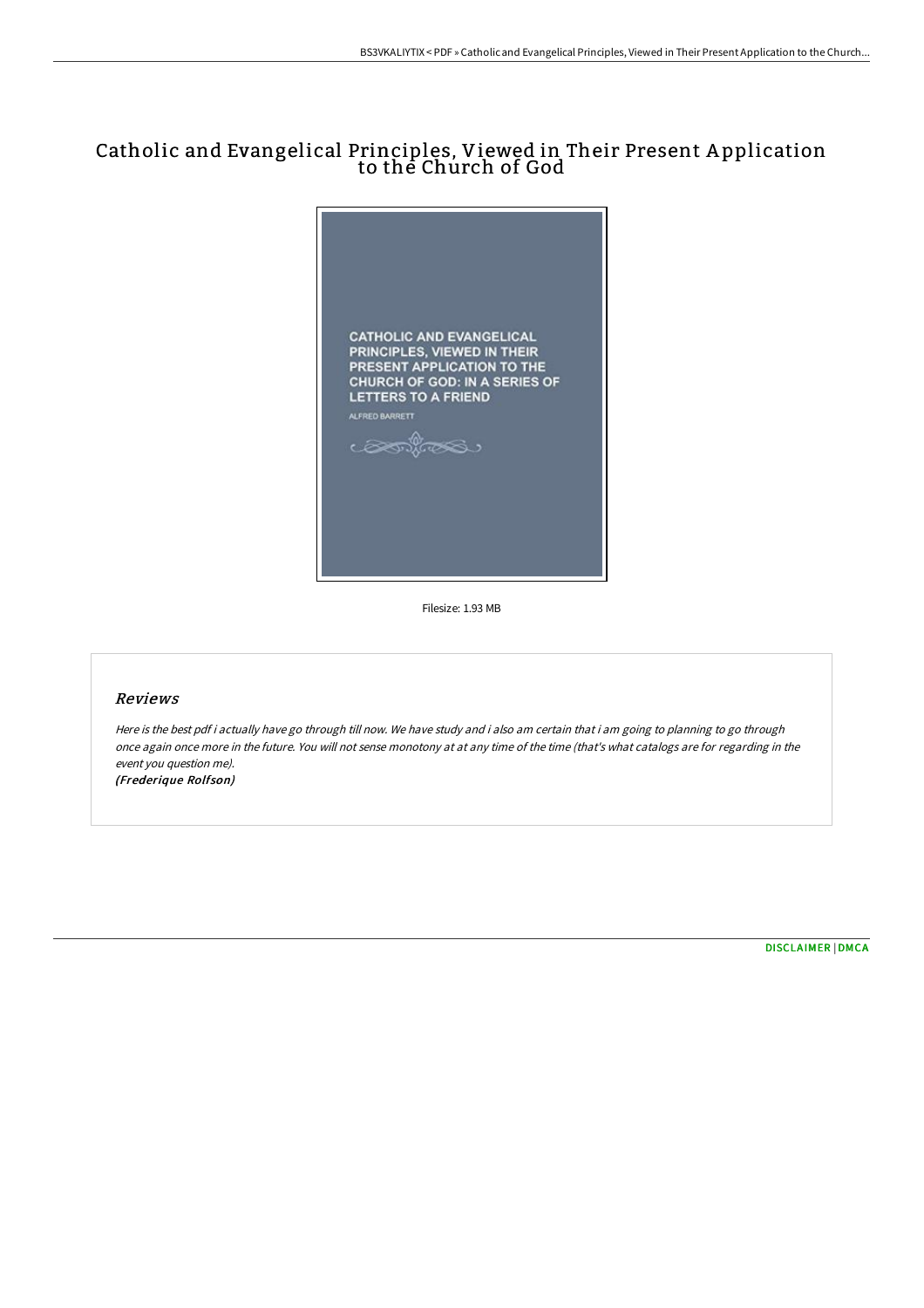# Catholic and Evangelical Principles, Viewed in Their Present A pplication to the Church of God



Filesize: 1.93 MB

# Reviews

Here is the best pdf i actually have go through till now. We have study and i also am certain that i am going to planning to go through once again once more in the future. You will not sense monotony at at any time of the time (that's what catalogs are for regarding in the event you question me). (Frederique Rolfson)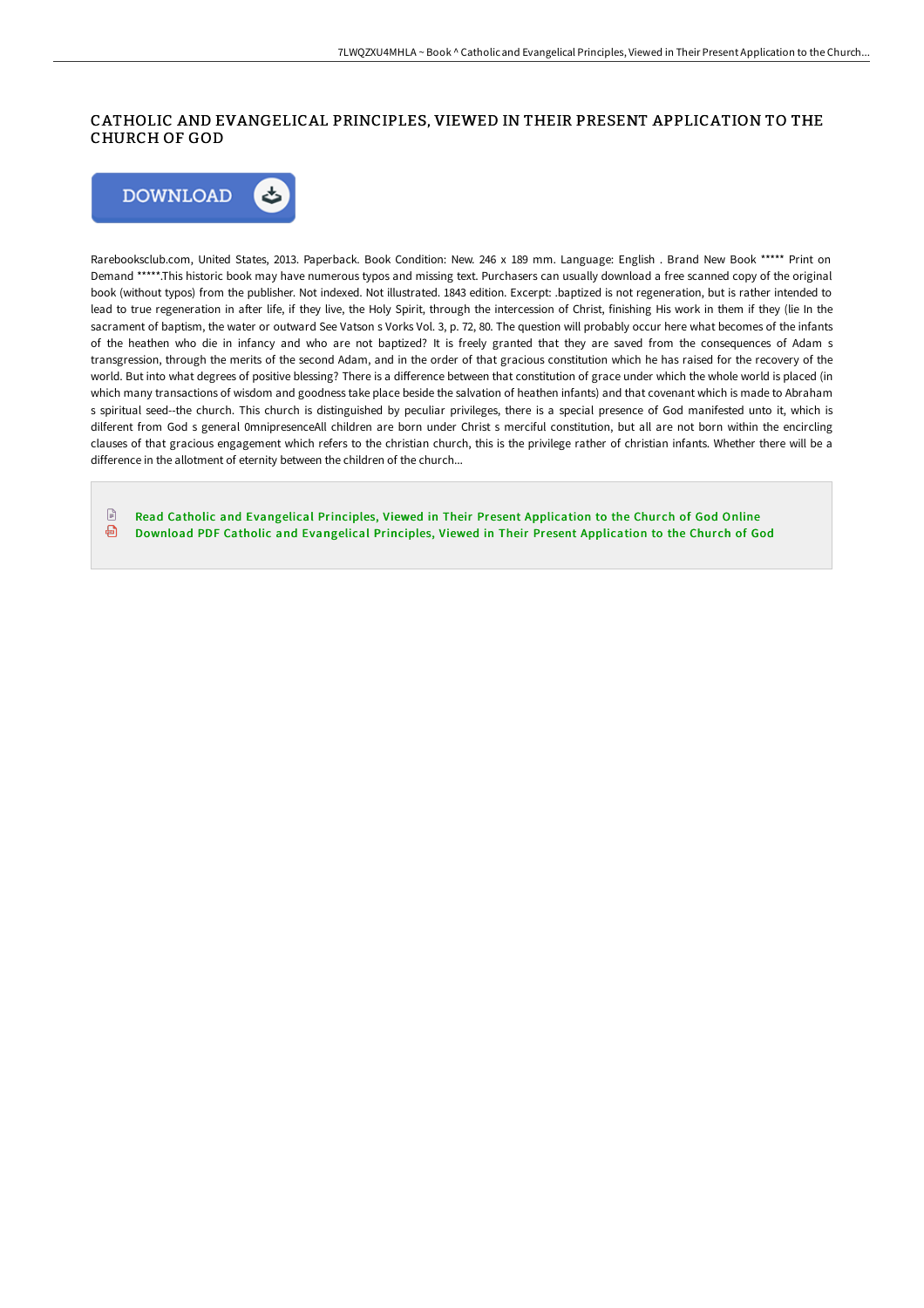# CATHOLIC AND EVANGELICAL PRINCIPLES, VIEWED IN THEIR PRESENT APPLICATION TO THE CHURCH OF GOD



Rarebooksclub.com, United States, 2013. Paperback. Book Condition: New. 246 x 189 mm. Language: English . Brand New Book \*\*\*\*\* Print on Demand \*\*\*\*\*.This historic book may have numerous typos and missing text. Purchasers can usually download a free scanned copy of the original book (without typos) from the publisher. Not indexed. Not illustrated. 1843 edition. Excerpt: .baptized is not regeneration, but is rather intended to lead to true regeneration in after life, if they live, the Holy Spirit, through the intercession of Christ, finishing His work in them if they (lie In the sacrament of baptism, the water or outward See Vatson s Vorks Vol. 3, p. 72, 80. The question will probably occur here what becomes of the infants of the heathen who die in infancy and who are not baptized? It is freely granted that they are saved from the consequences of Adam s transgression, through the merits of the second Adam, and in the order of that gracious constitution which he has raised for the recovery of the world. But into what degrees of positive blessing? There is a difference between that constitution of grace under which the whole world is placed (in which many transactions of wisdom and goodness take place beside the salvation of heathen infants) and that covenant which is made to Abraham s spiritual seed--the church. This church is distinguished by peculiar privileges, there is a special presence of God manifested unto it, which is dilferent from God s general 0mnipresenceAll children are born under Christ s merciful constitution, but all are not born within the encircling clauses of that gracious engagement which refers to the christian church, this is the privilege rather of christian infants. Whether there will be a difference in the allotment of eternity between the children of the church...

 $\mathbb{R}$ Read Catholic and [Evangelical](http://bookera.tech/catholic-and-evangelical-principles-viewed-in-th.html) Principles, Viewed in Their Present Application to the Church of God Online ⊕ Download PDF Catholic and [Evangelical](http://bookera.tech/catholic-and-evangelical-principles-viewed-in-th.html) Principles, Viewed in Their Present Application to the Church of God